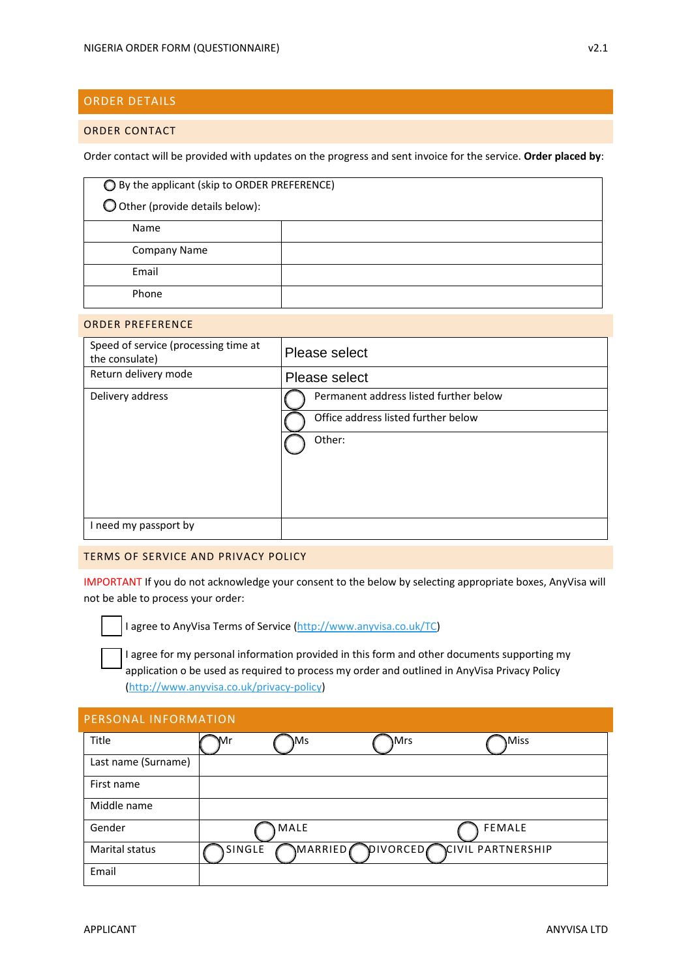# ORDER DETAILS

#### ORDER CONTACT

Order contact will be provided with updates on the progress and sent invoice for the service. **Order placed by**:

| ◯ By the applicant (skip to ORDER PREFERENCE) |  |  |
|-----------------------------------------------|--|--|
| O Other (provide details below):              |  |  |
| Name                                          |  |  |
| <b>Company Name</b>                           |  |  |
| Email                                         |  |  |
| Phone                                         |  |  |

#### ORDER PREFERENCE

| Speed of service (processing time at<br>the consulate) | Please select                          |
|--------------------------------------------------------|----------------------------------------|
| Return delivery mode                                   | Please select                          |
| Delivery address                                       | Permanent address listed further below |
|                                                        | Office address listed further below    |
|                                                        | Other:                                 |
|                                                        |                                        |
|                                                        |                                        |
|                                                        |                                        |
| I need my passport by                                  |                                        |

#### TERMS OF SERVICE AND PRIVACY POLICY

IMPORTANT If you do not acknowledge your consent to the below by selecting appropriate boxes, AnyVisa will not be able to process your order:

I agree to AnyVisa Terms of Service (http://www.anyvisa.co.uk/TC)

I agree for my personal information provided in this form and other documents supporting my application o be used as required to process my order and outlined in AnyVisa Privacy Policy (http://www.anyvisa.co.uk/privacy‐policy)

| <b>PERSONAL INFORMATION</b> |        |         |          |                   |
|-----------------------------|--------|---------|----------|-------------------|
| Title                       | Mr     | \Ms     | Mrs      | Miss              |
| Last name (Surname)         |        |         |          |                   |
| First name                  |        |         |          |                   |
| Middle name                 |        |         |          |                   |
| Gender                      |        | MALE    |          | <b>FEMALE</b>     |
| Marital status              | SINGLE | MARRIED | DIVORCED | CIVIL PARTNERSHIP |
| Email                       |        |         |          |                   |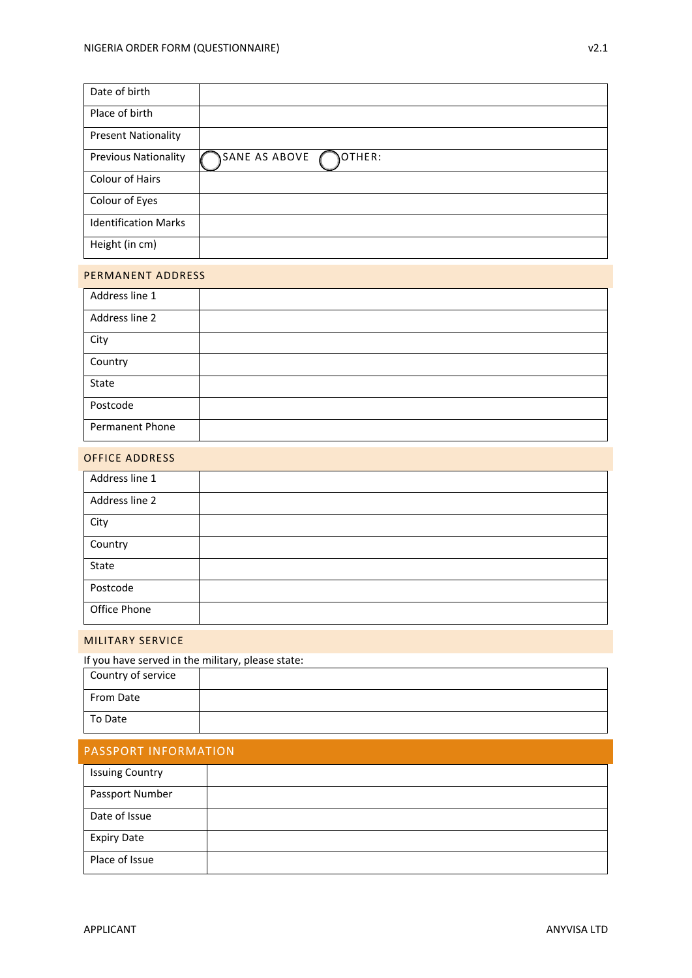| Date of birth               |                         |
|-----------------------------|-------------------------|
| Place of birth              |                         |
| <b>Present Nationality</b>  |                         |
| <b>Previous Nationality</b> | OTHER:<br>SANE AS ABOVE |
| Colour of Hairs             |                         |
| Colour of Eyes              |                         |
| <b>Identification Marks</b> |                         |
| Height (in cm)              |                         |

#### PERMANENT ADDRESS

| Address line 1  |  |
|-----------------|--|
| Address line 2  |  |
| City            |  |
| Country         |  |
| State           |  |
| Postcode        |  |
| Permanent Phone |  |

## OFFICE ADDRESS

| Address line 1 |  |
|----------------|--|
| Address line 2 |  |
| City           |  |
| Country        |  |
| State          |  |
| Postcode       |  |
| Office Phone   |  |

#### MILITARY SERVICE

## If you have served in the military, please state:

| Country of service |  |
|--------------------|--|
| From Date          |  |
| To Date            |  |

| PASSPORT INFORMATION |  |
|----------------------|--|
|----------------------|--|

| <b>Issuing Country</b> |  |
|------------------------|--|
| Passport Number        |  |
| Date of Issue          |  |
| <b>Expiry Date</b>     |  |
| Place of Issue         |  |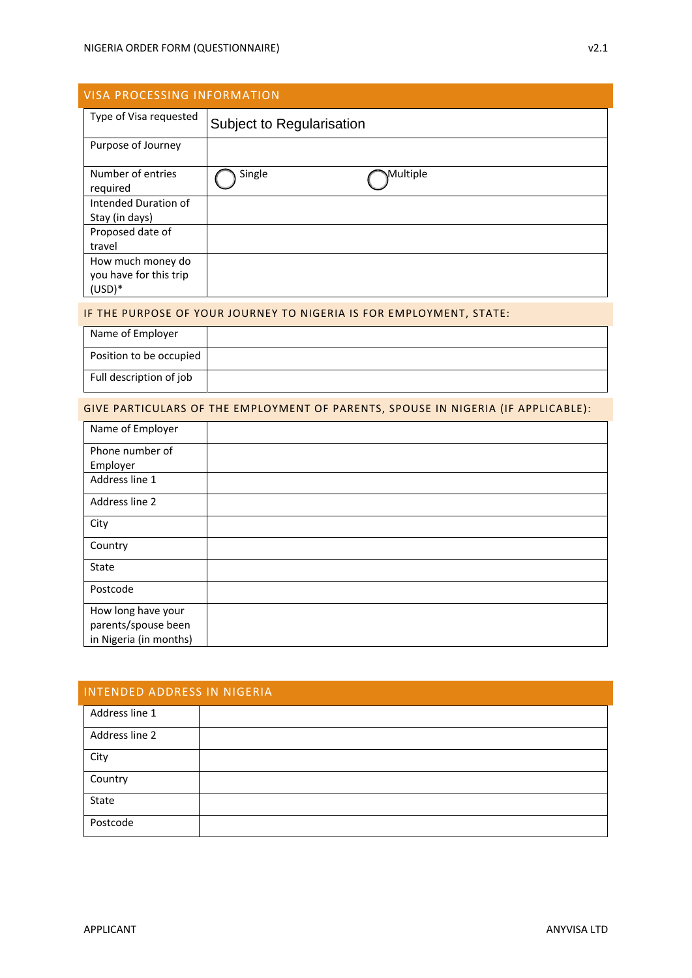| <b>VISA PROCESSING INFORMATION</b> |                           |  |
|------------------------------------|---------------------------|--|
| Type of Visa requested             | Subject to Regularisation |  |
| Purpose of Journey                 |                           |  |
| Number of entries<br>required      | Single<br>Multiple        |  |
| Intended Duration of               |                           |  |
| Stay (in days)                     |                           |  |
| Proposed date of                   |                           |  |
| travel                             |                           |  |
| How much money do                  |                           |  |
| you have for this trip             |                           |  |
| $(USD)*$                           |                           |  |

#### IF THE PURPOSE OF YOUR JOURNEY TO NIGERIA IS FOR EMPLOYMENT, STATE:

| Name of Employer        |  |
|-------------------------|--|
| Position to be occupied |  |
| Full description of job |  |

## GIVE PARTICULARS OF THE EMPLOYMENT OF PARENTS, SPOUSE IN NIGERIA (IF APPLICABLE):

| Name of Employer       |  |
|------------------------|--|
| Phone number of        |  |
| Employer               |  |
| Address line 1         |  |
| Address line 2         |  |
| City                   |  |
| Country                |  |
| State                  |  |
| Postcode               |  |
| How long have your     |  |
| parents/spouse been    |  |
| in Nigeria (in months) |  |

| <b>INTENDED ADDRESS IN NIGERIA</b> |  |  |
|------------------------------------|--|--|
| Address line 1                     |  |  |
| Address line 2                     |  |  |
| City                               |  |  |
| Country                            |  |  |
| State                              |  |  |
| Postcode                           |  |  |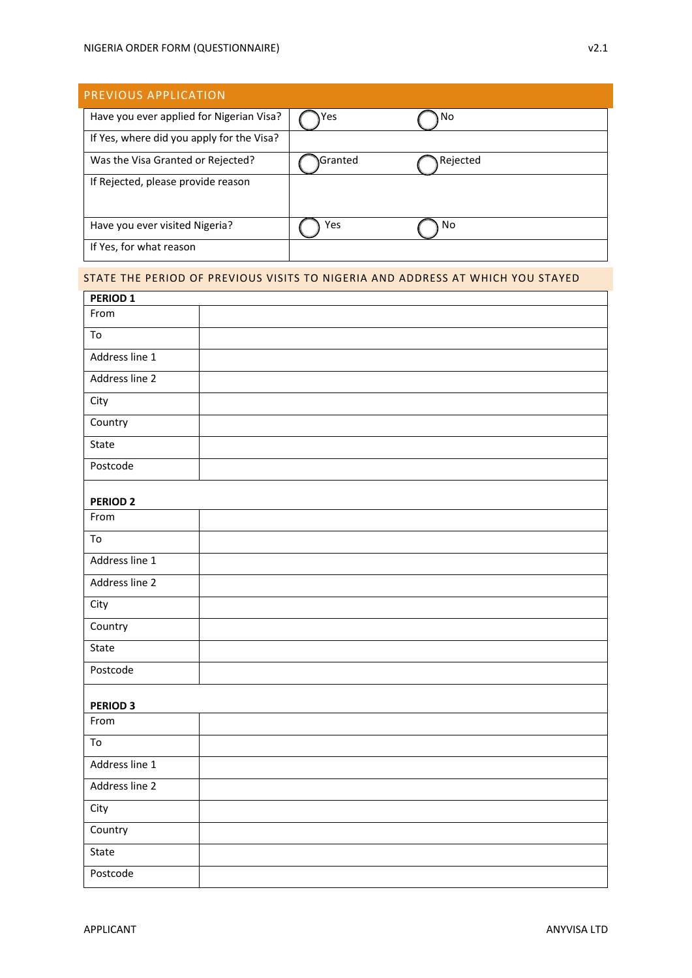| PREVIOUS APPLICATION                      |                 |          |  |  |
|-------------------------------------------|-----------------|----------|--|--|
| Have you ever applied for Nigerian Visa?  | Yes             | No       |  |  |
| If Yes, where did you apply for the Visa? |                 |          |  |  |
| Was the Visa Granted or Rejected?         | <b>\Granted</b> | Rejected |  |  |
| If Rejected, please provide reason        |                 |          |  |  |
|                                           |                 |          |  |  |
| Have you ever visited Nigeria?            | Yes             | No       |  |  |
| If Yes, for what reason                   |                 |          |  |  |

## STATE THE PERIOD OF PREVIOUS VISITS TO NIGERIA AND ADDRESS AT WHICH YOU STAYED

| From<br>To<br>Address line 1<br>Address line 2<br>City<br>Country<br>State<br>Postcode<br><b>PERIOD 2</b><br>From<br>To<br>Address line 1<br>Address line 2<br>City<br>Country<br>State<br>Postcode<br>PERIOD <sub>3</sub><br>From<br>To<br>Address line 1<br>Address line 2<br>City<br>Country<br>State<br>Postcode | PERIOD <sub>1</sub> |  |
|----------------------------------------------------------------------------------------------------------------------------------------------------------------------------------------------------------------------------------------------------------------------------------------------------------------------|---------------------|--|
|                                                                                                                                                                                                                                                                                                                      |                     |  |
|                                                                                                                                                                                                                                                                                                                      |                     |  |
|                                                                                                                                                                                                                                                                                                                      |                     |  |
|                                                                                                                                                                                                                                                                                                                      |                     |  |
|                                                                                                                                                                                                                                                                                                                      |                     |  |
|                                                                                                                                                                                                                                                                                                                      |                     |  |
|                                                                                                                                                                                                                                                                                                                      |                     |  |
|                                                                                                                                                                                                                                                                                                                      |                     |  |
|                                                                                                                                                                                                                                                                                                                      |                     |  |
|                                                                                                                                                                                                                                                                                                                      |                     |  |
|                                                                                                                                                                                                                                                                                                                      |                     |  |
|                                                                                                                                                                                                                                                                                                                      |                     |  |
|                                                                                                                                                                                                                                                                                                                      |                     |  |
|                                                                                                                                                                                                                                                                                                                      |                     |  |
|                                                                                                                                                                                                                                                                                                                      |                     |  |
|                                                                                                                                                                                                                                                                                                                      |                     |  |
|                                                                                                                                                                                                                                                                                                                      |                     |  |
|                                                                                                                                                                                                                                                                                                                      |                     |  |
|                                                                                                                                                                                                                                                                                                                      |                     |  |
|                                                                                                                                                                                                                                                                                                                      |                     |  |
|                                                                                                                                                                                                                                                                                                                      |                     |  |
|                                                                                                                                                                                                                                                                                                                      |                     |  |
|                                                                                                                                                                                                                                                                                                                      |                     |  |
|                                                                                                                                                                                                                                                                                                                      |                     |  |
|                                                                                                                                                                                                                                                                                                                      |                     |  |
|                                                                                                                                                                                                                                                                                                                      |                     |  |
|                                                                                                                                                                                                                                                                                                                      |                     |  |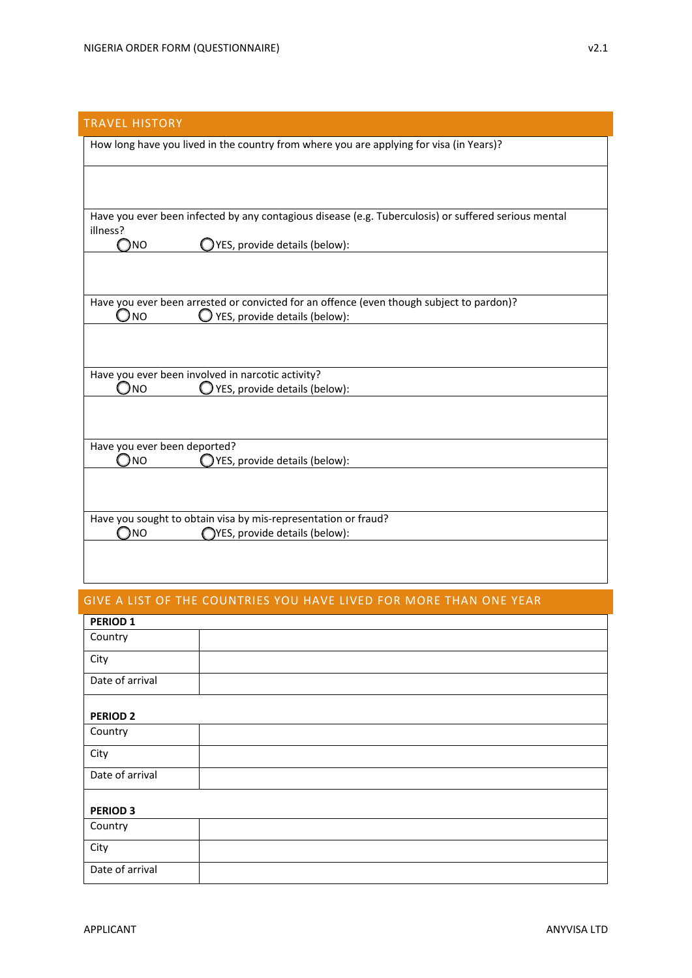# TRAVEL HISTORY

| How long have you lived in the country from where you are applying for visa (in Years)?              |
|------------------------------------------------------------------------------------------------------|
|                                                                                                      |
|                                                                                                      |
|                                                                                                      |
|                                                                                                      |
|                                                                                                      |
| Have you ever been infected by any contagious disease (e.g. Tuberculosis) or suffered serious mental |
| illness?                                                                                             |
| )NO<br>YES, provide details (below):                                                                 |
|                                                                                                      |
|                                                                                                      |
|                                                                                                      |
| Have you ever been arrested or convicted for an offence (even though subject to pardon)?             |
| JNO<br>YES, provide details (below):                                                                 |
|                                                                                                      |
|                                                                                                      |
|                                                                                                      |
|                                                                                                      |
| Have you ever been involved in narcotic activity?                                                    |
| YES, provide details (below):<br>$\bigcirc$ no                                                       |
|                                                                                                      |
|                                                                                                      |
|                                                                                                      |
|                                                                                                      |
| Have you ever been deported?                                                                         |
| $\bigcirc$ NO<br>YES, provide details (below):                                                       |
|                                                                                                      |
|                                                                                                      |
|                                                                                                      |
| Have you sought to obtain visa by mis-representation or fraud?                                       |
| <b>NO</b><br>YES, provide details (below):                                                           |
|                                                                                                      |
|                                                                                                      |

## GIVE A LIST OF THE COUNTRIES YOU HAVE LIVED FOR MORE THAN ONE YEAR

| <b>PERIOD 1</b> |  |  |
|-----------------|--|--|
| Country         |  |  |
| City            |  |  |
| Date of arrival |  |  |
| <b>PERIOD 2</b> |  |  |
|                 |  |  |
| Country         |  |  |
| City            |  |  |
| Date of arrival |  |  |
|                 |  |  |
| <b>PERIOD 3</b> |  |  |
| Country         |  |  |
| City            |  |  |
| Date of arrival |  |  |